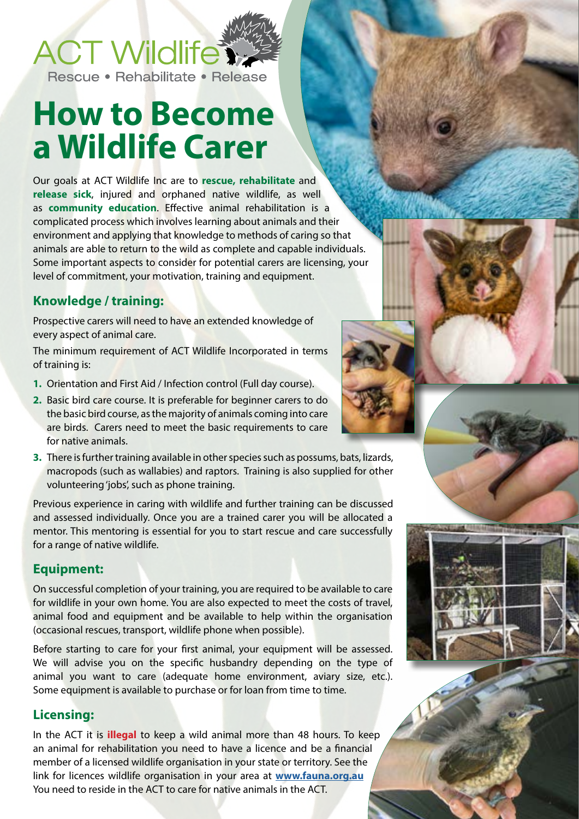

Rescue • Rehabilitate • Release

# **How to Become a Wildlife Carer**

Our goals at ACT Wildlife Inc are to **rescue, rehabilitate** and **release sick**, injured and orphaned native wildlife, as well as **community education**. Effective animal rehabilitation is a complicated process which involves learning about animals and their environment and applying that knowledge to methods of caring so that animals are able to return to the wild as complete and capable individuals. Some important aspects to consider for potential carers are licensing, your level of commitment, your motivation, training and equipment.

# **Knowledge / training:**

Prospective carers will need to have an extended knowledge of every aspect of animal care.

The minimum requirement of ACT Wildlife Incorporated in terms of training is:

- **1.** Orientation and First Aid / Infection control (Full day course).
- **2.** Basic bird care course. It is preferable for beginner carers to do the basic bird course, as the majority of animals coming into care are birds. Carers need to meet the basic requirements to care for native animals.
- **3.** There is further training available in other species such as possums, bats, lizards, macropods (such as wallabies) and raptors. Training is also supplied for other volunteering 'jobs', such as phone training.

Previous experience in caring with wildlife and further training can be discussed and assessed individually. Once you are a trained carer you will be allocated a mentor. This mentoring is essential for you to start rescue and care successfully for a range of native wildlife.

## **Equipment:**

On successful completion of your training, you are required to be available to care for wildlife in your own home. You are also expected to meet the costs of travel, animal food and equipment and be available to help within the organisation (occasional rescues, transport, wildlife phone when possible).

Before starting to care for your first animal, your equipment will be assessed. We will advise you on the specific husbandry depending on the type of animal you want to care (adequate home environment, aviary size, etc.). Some equipment is available to purchase or for loan from time to time.

#### **Licensing:**

In the ACT it is **illegal** to keep a wild animal more than 48 hours. To keep an animal for rehabilitation you need to have a licence and be a financial member of a licensed wildlife organisation in your state or territory. See the link for licences wildlife organisation in your area at **[www.fauna.org.au](http://www.fauna.org.au)** You need to reside in the ACT to care for native animals in the ACT.